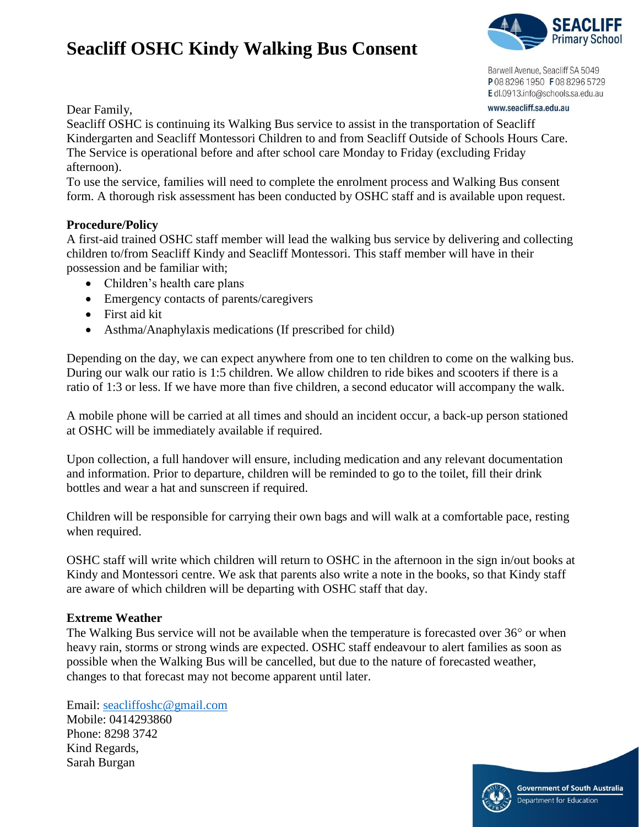## **Seacliff OSHC Kindy Walking Bus Consent**



Barwell Avenue, Seacliff SA 5049 P0882961950 F0882965729 Edl.0913.info@schools.sa.edu.au www.seacliff.sa.edu.au

Dear Family,

Seacliff OSHC is continuing its Walking Bus service to assist in the transportation of Seacliff Kindergarten and Seacliff Montessori Children to and from Seacliff Outside of Schools Hours Care. The Service is operational before and after school care Monday to Friday (excluding Friday afternoon).

To use the service, families will need to complete the enrolment process and Walking Bus consent form. A thorough risk assessment has been conducted by OSHC staff and is available upon request.

## **Procedure/Policy**

A first-aid trained OSHC staff member will lead the walking bus service by delivering and collecting children to/from Seacliff Kindy and Seacliff Montessori. This staff member will have in their possession and be familiar with;

- Children's health care plans
- Emergency contacts of parents/caregivers
- First aid kit
- Asthma/Anaphylaxis medications (If prescribed for child)

Depending on the day, we can expect anywhere from one to ten children to come on the walking bus. During our walk our ratio is 1:5 children. We allow children to ride bikes and scooters if there is a ratio of 1:3 or less. If we have more than five children, a second educator will accompany the walk.

A mobile phone will be carried at all times and should an incident occur, a back-up person stationed at OSHC will be immediately available if required.

Upon collection, a full handover will ensure, including medication and any relevant documentation and information. Prior to departure, children will be reminded to go to the toilet, fill their drink bottles and wear a hat and sunscreen if required.

Children will be responsible for carrying their own bags and will walk at a comfortable pace, resting when required.

OSHC staff will write which children will return to OSHC in the afternoon in the sign in/out books at Kindy and Montessori centre. We ask that parents also write a note in the books, so that Kindy staff are aware of which children will be departing with OSHC staff that day.

## **Extreme Weather**

The Walking Bus service will not be available when the temperature is forecasted over  $36^{\circ}$  or when heavy rain, storms or strong winds are expected. OSHC staff endeavour to alert families as soon as possible when the Walking Bus will be cancelled, but due to the nature of forecasted weather, changes to that forecast may not become apparent until later.

Email: [seacliffoshc@gmail.com](mailto:seacliffoshc@gmail.com) Mobile: 0414293860 Phone: 8298 3742 Kind Regards, Sarah Burgan